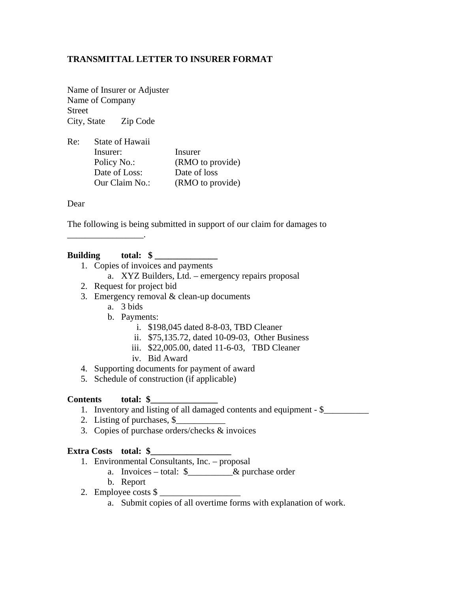## **TRANSMITTAL LETTER TO INSURER FORMAT**

Name of Insurer or Adjuster Name of Company Street City, State Zip Code

| Re: | State of Hawaii |                  |
|-----|-----------------|------------------|
|     | Insurer:        | Insurer          |
|     | Policy No.:     | (RMO to provide) |
|     | Date of Loss:   | Date of loss     |
|     | Our Claim No.:  | (RMO to provide) |

Dear

The following is being submitted in support of our claim for damages to

#### Building total: \$

\_\_\_\_\_\_\_\_\_\_\_\_\_\_\_\_\_.

- 1. Copies of invoices and payments
	- a. XYZ Builders, Ltd. emergency repairs proposal
- 2. Request for project bid
- 3. Emergency removal  $&$  clean-up documents
	- a. 3 bids
	- b. Payments:
		- i. \$198,045 dated 8-8-03, TBD Cleaner
		- ii. \$75,135.72, dated 10-09-03, Other Business
		- iii. \$22,005.00, dated 11-6-03, TBD Cleaner
		- iv. Bid Award
- 4. Supporting documents for payment of award
- 5. Schedule of construction (if applicable)

#### **Contents total: \$\_\_\_\_\_\_\_\_\_\_\_\_\_\_\_**

- 1. Inventory and listing of all damaged contents and equipment \$\_\_\_\_\_\_\_\_\_\_
- 2. Listing of purchases, \$
- 3. Copies of purchase orders/checks & invoices

#### Extra Costs total: \$

- 1. Environmental Consultants, Inc. proposal
	- a. Invoices total: \$\_\_\_\_\_\_\_\_\_\_& purchase order
	- b. Report
- 2. Employee costs \$
	- a. Submit copies of all overtime forms with explanation of work.